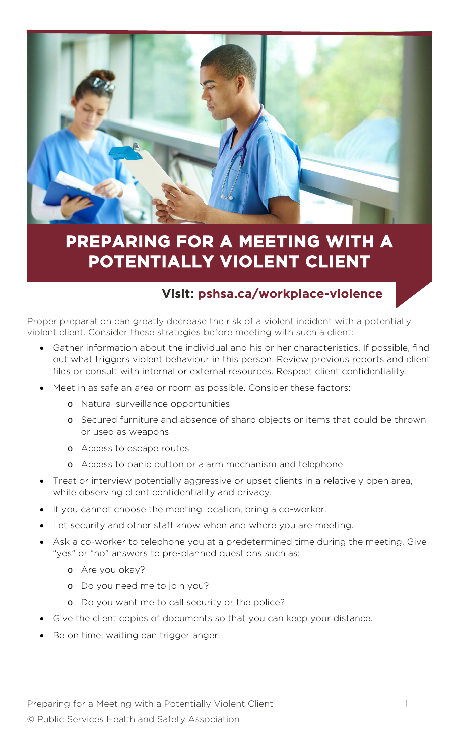

# **PREPARING FOR A MEETING WITH A POTENTIALLY VIOLENT CLIENT**

## Visit: pshsa.ca/workplace-violence

Proper preparation can greatly decrease the risk of a violent incident with a potentially violent client. Consider these strategies before meeting with such a client:

- Gather information about the individual and his or her characteristics. If possible, find out what triggers violent behaviour in this person. Review previous reports and client files or consult with internal or external resources. Respect client confidentiality.
- Meet in as safe an area or room as possible. Consider these factors:
	- o Natural surveillance opportunities
	- o Secured furniture and absence of sharp objects or items that could be thrown or used as weapons
	- o Access to escape routes
	- o Access to panic button or alarm mechanism and telephone
- Treat or interview potentially aggressive or upset clients in a relatively open area, while observing client confidentiality and privacy.
- If you cannot choose the meeting location, bring a co-worker.
- Let security and other staff know when and where you are meeting.
- Ask a co-worker to telephone you at a predetermined time during the meeting. Give "yes" or "no" answers to pre-planned questions such as:
	- o Are you okay?
	- o Do you need me to join you?
	- o Do you want me to call security or the police?
- Give the client copies of documents so that you can keep your distance.
- Be on time; waiting can trigger anger.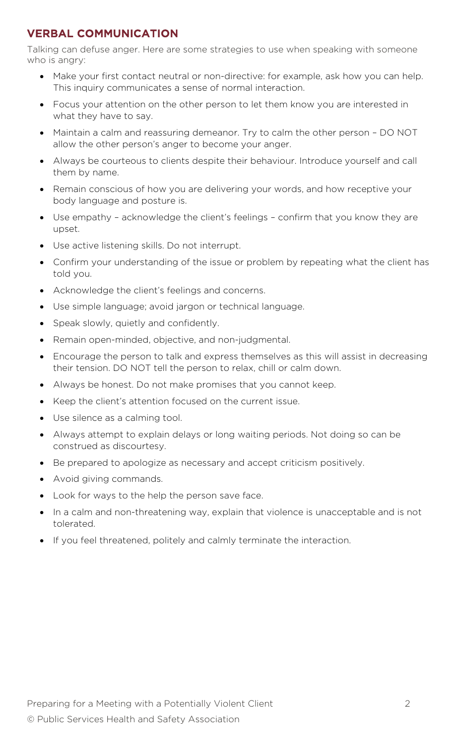### VERBAL COMMUNICATION

Talking can defuse anger. Here are some strategies to use when speaking with someone who is angry:

- Make your first contact neutral or non-directive: for example, ask how you can help. This inquiry communicates a sense of normal interaction.
- Focus your attention on the other person to let them know you are interested in what they have to say.
- Maintain a calm and reassuring demeanor. Try to calm the other person DO NOT allow the other person's anger to become your anger.
- Always be courteous to clients despite their behaviour. Introduce yourself and call them by name.
- Remain conscious of how you are delivering your words, and how receptive your body language and posture is.
- Use empathy acknowledge the client's feelings confirm that you know they are upset.
- Use active listening skills. Do not interrupt.
- Confirm your understanding of the issue or problem by repeating what the client has told you.
- Acknowledge the client's feelings and concerns.
- Use simple language; avoid jargon or technical language.
- Speak slowly, quietly and confidently.
- Remain open-minded, objective, and non-judgmental.
- Encourage the person to talk and express themselves as this will assist in decreasing their tension. DO NOT tell the person to relax, chill or calm down.
- Always be honest. Do not make promises that you cannot keep.
- Keep the client's attention focused on the current issue.
- Use silence as a calming tool.
- Always attempt to explain delays or long waiting periods. Not doing so can be construed as discourtesy.
- Be prepared to apologize as necessary and accept criticism positively.
- Avoid giving commands.
- Look for ways to the help the person save face.
- In a calm and non-threatening way, explain that violence is unacceptable and is not tolerated.
- If you feel threatened, politely and calmly terminate the interaction.